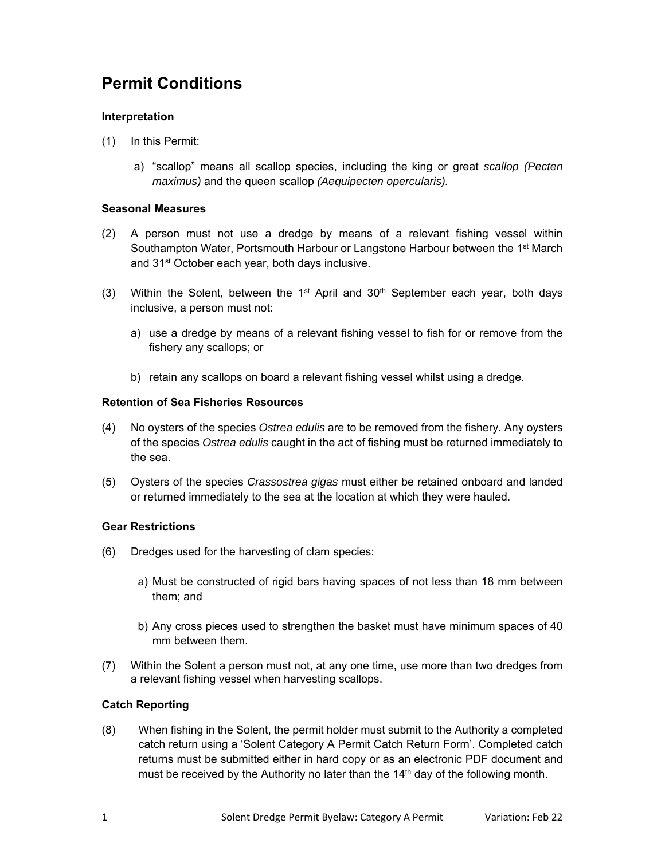# **Permit Conditions**

#### **Interpretation**

- (1) In this Permit:
	- a) "scallop" means all scallop species, including the king or great *scallop (Pecten maximus)* and the queen scallop *(Aequipecten opercularis).*

### **Seasonal Measures**

- (2) A person must not use a dredge by means of a relevant fishing vessel within Southampton Water, Portsmouth Harbour or Langstone Harbour between the 1st March and 31<sup>st</sup> October each year, both days inclusive.
- (3) Within the Solent, between the 1<sup>st</sup> April and  $30<sup>th</sup>$  September each year, both days inclusive, a person must not:
	- a) use a dredge by means of a relevant fishing vessel to fish for or remove from the fishery any scallops; or
	- b) retain any scallops on board a relevant fishing vessel whilst using a dredge.

#### **Retention of Sea Fisheries Resources**

- (4) No oysters of the species *Ostrea edulis* are to be removed from the fishery. Any oysters of the species *Ostrea edulis* caught in the act of fishing must be returned immediately to the sea.
- (5) Oysters of the species *Crassostrea gigas* must either be retained onboard and landed or returned immediately to the sea at the location at which they were hauled.

#### **Gear Restrictions**

- (6) Dredges used for the harvesting of clam species:
	- a) Must be constructed of rigid bars having spaces of not less than 18 mm between them; and
	- b) Any cross pieces used to strengthen the basket must have minimum spaces of 40 mm between them.
- (7) Within the Solent a person must not, at any one time, use more than two dredges from a relevant fishing vessel when harvesting scallops.

## **Catch Reporting**

(8) When fishing in the Solent, the permit holder must submit to the Authority a completed catch return using a 'Solent Category A Permit Catch Return Form'. Completed catch returns must be submitted either in hard copy or as an electronic PDF document and must be received by the Authority no later than the  $14<sup>th</sup>$  day of the following month.